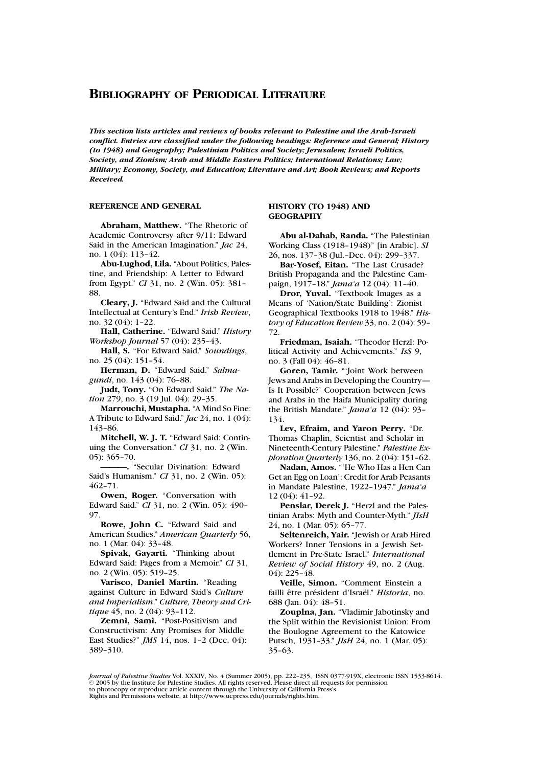*This section lists articles and reviews of books relevant to Palestine and the Arab-Israeli conflict. Entries are classified under the following headings: Reference and General; History (to 1948) and Geography; Palestinian Politics and Society; Jerusalem; Israeli Politics, Society, and Zionism; Arab and Middle Eastern Politics; International Relations; Law; Military; Economy, Society, and Education; Literature and Art; Book Reviews; and Reports Received.*

# **REFERENCE AND GENERAL**

**Abraham, Matthew.** "The Rhetoric of Academic Controversy after 9/11: Edward Said in the American Imagination." *Jac* 24, no. 1 (04): 113–42.

**Abu-Lughod, Lila.** "About Politics, Palestine, and Friendship: A Letter to Edward from Egypt." *CI* 31, no. 2 (Win. 05): 381– 88.

**Cleary, J.** "Edward Said and the Cultural Intellectual at Century's End." *Irish Review*, no. 32 (04): 1–22.

**Hall, Catherine.** "Edward Said." *History Workshop Journal* 57 (04): 235–43.

**Hall, S.** "For Edward Said." *Soundings*, no. 25 (04): 151–54.

**Herman, D.** "Edward Said." *Salmagundi*, no. 143 (04): 76–88.

**Judt, Tony.** "On Edward Said." *The Nation* 279, no. 3 (19 Jul. 04): 29–35.

**Marrouchi, Mustapha.** "A Mind So Fine: A Tribute to Edward Said." *Jac* 24, no. 1 (04): 143–86.

**Mitchell, W. J. T.** "Edward Said: Continuing the Conversation." *CI* 31, no. 2 (Win. 05): 365–70.

**———.** "Secular Divination: Edward Said's Humanism." *CI* 31, no. 2 (Win. 05): 462–71.

**Owen, Roger.** "Conversation with Edward Said." *CI* 31, no. 2 (Win. 05): 490– 97.

**Rowe, John C.** "Edward Said and American Studies." *American Quarterly* 56, no. 1 (Mar. 04): 33–48.

**Spivak, Gayarti.** "Thinking about Edward Said: Pages from a Memoir." *CI* 31, no. 2 (Win. 05): 519–25.

**Varisco, Daniel Martin.** "Reading against Culture in Edward Said's *Culture and Imperialism*." *Culture, Theory and Critique* 45, no. 2 (04): 93–112.

**Zemni, Sami.** "Post-Positivism and Constructivism: Any Promises for Middle East Studies?" *JMS* 14, nos. 1–2 (Dec. 04): 389–310.

# **HISTORY (TO 1948) AND GEOGRAPHY**

**Abu al-Dahab, Randa.** "The Palestinian Working Class (1918–1948)" [in Arabic]. *SI* 26, nos. 137–38 (Jul.–Dec. 04): 299–337.

**Bar-Yosef, Eitan.** "The Last Crusade? British Propaganda and the Palestine Campaign, 1917–18." *Jama'a* 12 (04): 11–40.

**Dror, Yuval.** "Textbook Images as a Means of 'Nation/State Building': Zionist Geographical Textbooks 1918 to 1948." *History of Education Review* 33, no. 2 (04): 59– 72.

**Friedman, Isaiah.** "Theodor Herzl: Political Activity and Achievements." *IsS* 9, no. 3 (Fall 04): 46–81.

**Goren, Tamir.** "'Joint Work between Jews and Arabs in Developing the Country— Is It Possible?' Cooperation between Jews and Arabs in the Haifa Municipality during the British Mandate." *Jama'a* 12 (04): 93– 134.

**Lev, Efraim, and Yaron Perry.** "Dr. Thomas Chaplin, Scientist and Scholar in Nineteenth-Century Palestine." *Palestine Exploration Quarterly* 136, no. 2 (04): 151–62.

**Nadan, Amos.** "'He Who Has a Hen Can Get an Egg on Loan': Credit for Arab Peasants in Mandate Palestine, 1922–1947." *Jama'a* 12 (04): 41–92.

**Penslar, Derek J.** "Herzl and the Palestinian Arabs: Myth and Counter-Myth." *JIsH* 24, no. 1 (Mar. 05): 65–77.

**Seltenreich, Yair.** "Jewish or Arab Hired Workers? Inner Tensions in a Jewish Settlement in Pre-State Israel." *International Review of Social History* 49, no. 2 (Aug. 04): 225–48.

**Veille, Simon.** "Comment Einstein a failli être président d'Israël." *Historia*, no. 688 (Jan. 04): 48–51.

**Zouplna, Jan.** "Vladimir Jabotinsky and the Split within the Revisionist Union: From the Boulogne Agreement to the Katowice Putsch, 1931–33." *JIsH* 24, no. 1 (Mar. 05): 35–63.

*Journal of Palestine Studies* Vol. XXXIV, No. 4 (Summer 2005), pp. 222–235, ISSN 0377-919X, electronic ISSN 1533-8614.<br>© 2005 by the Institute for Palestine Studies. All rights reserved. Please direct all requests for per to photocopy or reproduce article content through the University of California Press's Rights and Permissions website, at http://www.ucpress.edu/journals/rights.htm.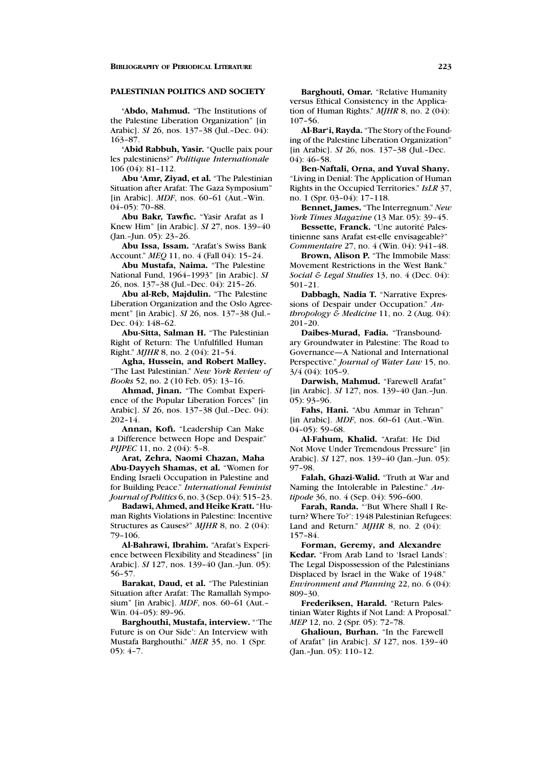### **PALESTINIAN POLITICS AND SOCIETY**

**'Abdo, Mahmud.** "The Institutions of the Palestine Liberation Organization" [in Arabic]. *SI* 26, nos. 137–38 (Jul.–Dec. 04): 163–87.

**'Abid Rabbuh, Yasir.** "Quelle paix pour les palestiniens?" *Politique Internationale* 106 (04): 81–112.

**Abu 'Amr, Ziyad, et al.** "The Palestinian Situation after Arafat: The Gaza Symposium" [in Arabic]. *MDF*, nos. 60–61 (Aut.–Win. 04–05): 70–88.

**Abu Bakr, Tawfic.** "Yasir Arafat as I Knew Him" [in Arabic]. *SI* 27, nos. 139–40 (Jan.–Jun. 05): 23–26.

**Abu Issa, Issam.** "Arafat's Swiss Bank Account." *MEQ* 11, no. 4 (Fall 04): 15–24.

**Abu Mustafa, Naima.** "The Palestine National Fund, 1964–1993" [in Arabic]. *SI* 26, nos. 137–38 (Jul.–Dec. 04): 215–26.

**Abu al-Reb, Majdulin.** "The Palestine Liberation Organization and the Oslo Agreement" [in Arabic]. *SI* 26, nos. 137–38 (Jul.– Dec. 04): 148–62.

**Abu-Sitta, Salman H.** "The Palestinian Right of Return: The Unfulfilled Human Right." *MJHR* 8, no. 2 (04): 21–54.

**Agha, Hussein, and Robert Malley.** "The Last Palestinian." *New York Review of Books* 52, no. 2 (10 Feb. 05): 13–16.

**Ahmad, Jinan.** "The Combat Experience of the Popular Liberation Forces" [in Arabic]. *SI* 26, nos. 137–38 (Jul.–Dec. 04): 202–14.

**Annan, Kofi.** "Leadership Can Make a Difference between Hope and Despair." *PIJPEC* 11, no. 2 (04): 5-8.

**Arat, Zehra, Naomi Chazan, Maha Abu-Dayyeh Shamas, et al.** "Women for Ending Israeli Occupation in Palestine and for Building Peace." *International Feminist Journal of Politics* 6, no. 3 (Sep. 04): 515–23.

**Badawi, Ahmed, and Heike Kratt.** "Human Rights Violations in Palestine: Incentive Structures as Causes?" *MJHR* 8, no. 2 (04): 79–106.

**Al-Bahrawi, Ibrahim.** "Arafat's Experience between Flexibility and Steadiness" [in Arabic]. *SI* 127, nos. 139–40 (Jan.–Jun. 05): 56–57.

**Barakat, Daud, et al.** "The Palestinian Situation after Arafat: The Ramallah Symposium" [in Arabic]. *MDF*, nos. 60–61 (Aut.– Win. 04–05): 89–96.

**Barghouthi, Mustafa, interview.** "'The Future is on Our Side': An Interview with Mustafa Barghouthi." *MER* 35, no. 1 (Spr. 05): 4–7.

**Barghouti, Omar.** "Relative Humanity versus Ethical Consistency in the Application of Human Rights." *MJHR* 8, no. 2 (04): 107–56.

**Al-Bar'i, Rayda.** "The Story of the Founding of the Palestine Liberation Organization" [in Arabic]. *SI* 26, nos. 137–38 (Jul.–Dec.  $04$ : 46–58.

**Ben-Naftali, Orna, and Yuval Shany.** "Living in Denial: The Application of Human Rights in the Occupied Territories." *IsLR* 37, no. 1 (Spr. 03–04): 17–118.

**Bennet, James.** "The Interregnum." *New York Times Magazine* (13 Mar. 05): 39–45.

**Bessette, Franck.** "Une autorité Palestinienne sans Arafat est-elle envisageable?" *Commentaire* 27, no. 4 (Win. 04): 941–48.

**Brown, Alison P.** "The Immobile Mass: Movement Restrictions in the West Bank." *Social & Legal Studies* 13, no. 4 (Dec. 04): 501–21.

**Dabbagh, Nadia T.** "Narrative Expressions of Despair under Occupation." *Anthropology & Medicine* 11, no. 2 (Aug. 04): 201–20.

**Daibes-Murad, Fadia.** "Transboundary Groundwater in Palestine: The Road to Governance—A National and International Perspective." *Journal of Water Law* 15, no. 3/4 (04): 105–9.

**Darwish, Mahmud.** "Farewell Arafat" [in Arabic]. *SI* 127, nos. 139–40 (Jan.–Jun. 05): 93–96.

**Fahs, Hani.** "Abu Ammar in Tehran" [in Arabic]. *MDF*, nos. 60–61 (Aut.–Win. 04–05): 59–68.

**Al-Fahum, Khalid.** "Arafat: He Did Not Move Under Tremendous Pressure" [in Arabic]. *SI* 127, nos. 139–40 (Jan.–Jun. 05): 97–98.

**Falah, Ghazi-Walid.** "Truth at War and Naming the Intolerable in Palestine." *Antipode* 36, no. 4 (Sep. 04): 596–600.

**Farah, Randa.** "'But Where Shall I Return? Where To?': 1948 Palestinian Refugees: Land and Return." *MJHR* 8, no. 2 (04): 157–84.

**Forman, Geremy, and Alexandre Kedar.** "From Arab Land to 'Israel Lands': The Legal Dispossession of the Palestinians Displaced by Israel in the Wake of 1948." *Environment and Planning* 22, no. 6 (04): 809–30.

**Frederiksen, Harald.** "Return Palestinian Water Rights if Not Land: A Proposal." *MEP* 12, no. 2 (Spr. 05): 72–78.

**Ghalioun, Burhan.** "In the Farewell of Arafat" [in Arabic]. *SI* 127, nos. 139–40 (Jan.–Jun. 05): 110–12.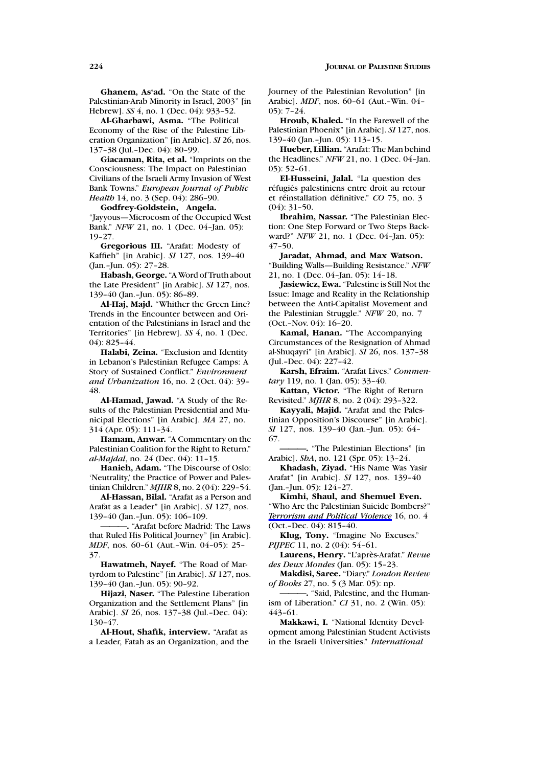**Ghanem, As'ad.** "On the State of the Palestinian-Arab Minority in Israel, 2003" [in Hebrew]. *SS* 4, no. 1 (Dec. 04): 933–52.

**Al-Gharbawi, Asma.** "The Political Economy of the Rise of the Palestine Liberation Organization" [in Arabic]. *SI* 26, nos. 137–38 (Jul.–Dec. 04): 80–99.

**Giacaman, Rita, et al.** "Imprints on the Consciousness: The Impact on Palestinian Civilians of the Israeli Army Invasion of West Bank Towns." *European Journal of Public Health* 14, no. 3 (Sep. 04): 286–90.

**Godfrey-Goldstein, Angela.** "Jayyous—Microcosm of the Occupied West Bank." *NFW* 21, no. 1 (Dec. 04–Jan. 05): 19–27.

**Gregorious III.** "Arafat: Modesty of Kaffieh" [in Arabic]. *SI* 127, nos. 139–40 (Jan.–Jun. 05): 27–28.

**Habash, George.** "A Word of Truth about the Late President" [in Arabic]. *SI* 127, nos. 139–40 (Jan.–Jun. 05): 86–89.

**Al-Haj, Majd.** "Whither the Green Line? Trends in the Encounter between and Orientation of the Palestinians in Israel and the Territories" [in Hebrew]. *SS* 4, no. 1 (Dec. 04): 825–44.

**Halabi, Zeina.** "Exclusion and Identity in Lebanon's Palestinian Refugee Camps: A Story of Sustained Conflict." *Environment and Urbanization* 16, no. 2 (Oct. 04): 39– 48.

**Al-Hamad, Jawad.** "A Study of the Results of the Palestinian Presidential and Municipal Elections" [in Arabic]. *MA* 27, no. 314 (Apr. 05): 111–34.

**Hamam, Anwar.** "A Commentary on the Palestinian Coalition for the Right to Return." *al-Majdal*, no. 24 (Dec. 04): 11–15.

**Hanieh, Adam.** "The Discourse of Oslo: 'Neutrality,' the Practice of Power and Palestinian Children." *MJHR* 8, no. 2 (04): 229–54.

**Al-Hassan, Bilal.** "Arafat as a Person and Arafat as a Leader" [in Arabic]. *SI* 127, nos. 139–40 (Jan.–Jun. 05): 106–109.

**———.** "Arafat before Madrid: The Laws that Ruled His Political Journey" [in Arabic]. *MDF*, nos. 60–61 (Aut.–Win. 04–05): 25– 37.

**Hawatmeh, Nayef.** "The Road of Martyrdom to Palestine" [in Arabic]. *SI* 127, nos. 139–40 (Jan.–Jun. 05): 90–92.

**Hijazi, Naser.** "The Palestine Liberation Organization and the Settlement Plans" [in Arabic]. *SI* 26, nos. 137–38 (Jul.–Dec. 04): 130–47.

**Al-Hout, Shafik, interview.** "Arafat as a Leader, Fatah as an Organization, and the Journey of the Palestinian Revolution" [in Arabic]. *MDF*, nos. 60–61 (Aut.–Win. 04– 05): 7–24.

**Hroub, Khaled.** "In the Farewell of the Palestinian Phoenix" [in Arabic]. *SI* 127, nos. 139–40 (Jan.–Jun. 05): 113–15.

**Hueber, Lillian.** "Arafat: The Man behind the Headlines." *NFW* 21, no. 1 (Dec. 04–Jan.  $05$ : 52–61.

**El-Husseini, Jalal.** "La question des réfugiés palestiniens entre droit au retour et réinstallation définitive." *CO* 75, no. 3  $(04)$ : 31–50.

**Ibrahim, Nassar.** "The Palestinian Election: One Step Forward or Two Steps Backward?" *NFW* 21, no. 1 (Dec. 04–Jan. 05): 47–50.

**Jaradat, Ahmad, and Max Watson.** "Building Walls—Building Resistance." *NFW* 21, no. 1 (Dec. 04–Jan. 05): 14–18.

**Jasiewicz, Ewa.** "Palestine is Still Not the Issue: Image and Reality in the Relationship between the Anti-Capitalist Movement and the Palestinian Struggle." *NFW* 20, no. 7 (Oct.–Nov. 04): 16–20.

**Kamal, Hanan.** "The Accompanying Circumstances of the Resignation of Ahmad al-Shuqayri" [in Arabic]. *SI* 26, nos. 137–38 (Jul.–Dec. 04): 227–42.

**Karsh, Efraim.** "Arafat Lives." *Commentary* 119, no. 1 (Jan. 05): 33–40.

**Kattan, Victor.** "The Right of Return Revisited." *MJHR* 8, no. 2 (04): 293–322.

**Kayyali, Majid.** "Arafat and the Palestinian Opposition's Discourse" [in Arabic]. *SI* 127, nos. 139–40 (Jan.–Jun. 05): 64– 67.

**———.** "The Palestinian Elections" [in Arabic]. *ShA*, no. 121 (Spr. 05): 13–24.

**Khadash, Ziyad.** "His Name Was Yasir Arafat" [in Arabic]. *SI* 127, nos. 139–40 (Jan.–Jun. 05): 124–27.

**Kimhi, Shaul, and Shemuel Even.** "Who Are the Palestinian Suicide Bombers?" *Terrorism and Political Violence* 16, no. 4 (Oct.–Dec. 04): 815–40.

**Klug, Tony.** "Imagine No Excuses." *PIJPEC* 11, no. 2 (04): 54-61.

**Laurens, Henry.** "L'apr`es-Arafat." *Revue des Deux Mondes* (Jan. 05): 15–23.

**Makdisi, Saree.** "Diary." *London Review of Books* 27, no. 5 (3 Mar. 05): np.

**———.** "Said, Palestine, and the Humanism of Liberation." *CI* 31, no. 2 (Win. 05): 443–61.

**Makkawi, I.** "National Identity Development among Palestinian Student Activists in the Israeli Universities." *International*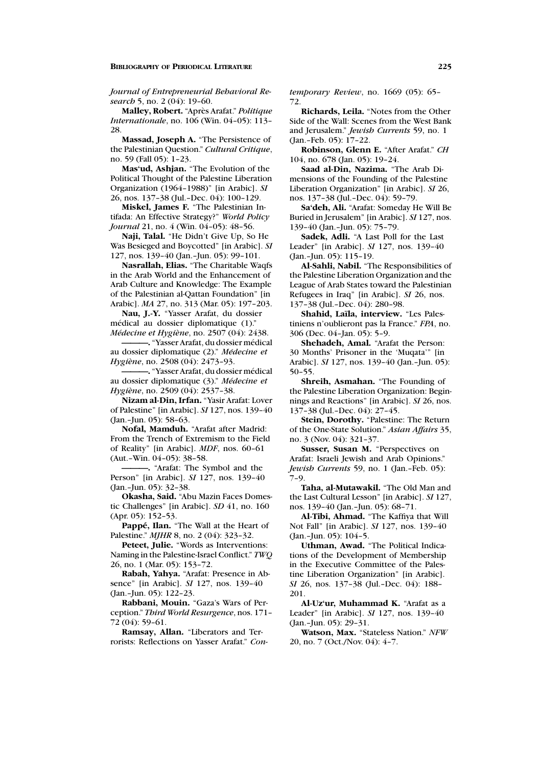*Journal of Entrepreneurial Behavioral Research* 5, no. 2 (04): 19–60.

**Malley, Robert.** "Après Arafat." Politique *Internationale*, no. 106 (Win. 04–05): 113– 28.

**Massad, Joseph A.** "The Persistence of the Palestinian Question." *Cultural Critique*, no. 59 (Fall 05): 1–23.

**Mas'ud, Ashjan.** "The Evolution of the Political Thought of the Palestine Liberation Organization (1964–1988)" [in Arabic]. *SI* 26, nos. 137–38 (Jul.–Dec. 04): 100–129.

**Miskel, James F.** "The Palestinian Intifada: An Effective Strategy?" *World Policy Journal* 21, no. 4 (Win. 04-05): 48-56.

**Naji, Talal.** "He Didn't Give Up, So He Was Besieged and Boycotted" [in Arabic]. *SI* 127, nos. 139–40 (Jan.–Jun. 05): 99–101.

**Nasrallah, Elias.** "The Charitable Waqfs in the Arab World and the Enhancement of Arab Culture and Knowledge: The Example of the Palestinian al-Qattan Foundation" [in Arabic]. *MA* 27, no. 313 (Mar. 05): 197–203.

**Nau, J.-Y.** "Yasser Arafat, du dossier médical au dossier diplomatique (1)." *M´edecine et Hygi`ene*, no. 2507 (04): 2438.

**———.** "Yasser Arafat, du dossier m´edical au dossier diplomatique (2)." Médecine et *Hygiène*, no. 2508 (04): 2473-93.

**———.** "Yasser Arafat, du dossier m´edical au dossier diplomatique (3)." *M´edecine et Hygiène*, no. 2509 (04): 2537-38.

**Nizam al-Din, Irfan.** "Yasir Arafat: Lover of Palestine" [in Arabic]. *SI* 127, nos. 139–40 (Jan.–Jun. 05): 58–63.

**Nofal, Mamduh.** "Arafat after Madrid: From the Trench of Extremism to the Field of Reality" [in Arabic]. *MDF*, nos. 60–61 (Aut.–Win. 04–05): 38–58.

**———.** "Arafat: The Symbol and the Person" [in Arabic]. *SI* 127, nos. 139–40 (Jan.–Jun. 05): 32–38.

**Okasha, Said.** "Abu Mazin Faces Domestic Challenges" [in Arabic]. *SD* 41, no. 160 (Apr. 05): 152–53.

Pappé, Ilan. "The Wall at the Heart of Palestine." *MJHR* 8, no. 2 (04): 323–32.

**Peteet, Julie.** "Words as Interventions: Naming in the Palestine-Israel Conflict." *TWQ* 26, no. 1 (Mar. 05): 153–72.

**Rabah, Yahya.** "Arafat: Presence in Absence" [in Arabic]. *SI* 127, nos. 139–40 (Jan.–Jun. 05): 122–23.

**Rabbani, Mouin.** "Gaza's Wars of Perception." *Third World Resurgence*, nos. 171– 72 (04): 59–61.

**Ramsay, Allan.** "Liberators and Terrorists: Reflections on Yasser Arafat." *Con-* *temporary Review*, no. 1669 (05): 65– 72.

**Richards, Leila.** "Notes from the Other Side of the Wall: Scenes from the West Bank and Jerusalem." *Jewish Currents* 59, no. 1 (Jan.–Feb. 05): 17–22.

**Robinson, Glenn E.** "After Arafat." *CH* 104, no. 678 (Jan. 05): 19–24.

**Saad al-Din, Nazima.** "The Arab Dimensions of the Founding of the Palestine Liberation Organization" [in Arabic]. *SI* 26, nos. 137–38 (Jul.–Dec. 04): 59–79.

**Sa'deh, Ali.** "Arafat: Someday He Will Be Buried in Jerusalem" [in Arabic]. *SI* 127, nos. 139–40 (Jan.–Jun. 05): 75–79.

**Sadek, Adli.** "A Last Poll for the Last Leader" [in Arabic]. *SI* 127, nos. 139–40 (Jan.–Jun. 05): 115–19.

**Al-Sahli, Nabil.** "The Responsibilities of the Palestine Liberation Organization and the League of Arab States toward the Palestinian Refugees in Iraq" [in Arabic]. *SI* 26, nos. 137–38 (Jul.–Dec. 04): 280–98.

**Shahid, La¨ıla, interview.** "Les Palestiniens n'oublieront pas la France." *FPA*, no. 306 (Dec. 04–Jan. 05): 5–9.

**Shehadeh, Amal.** "Arafat the Person: 30 Months' Prisoner in the 'Muqata'" [in Arabic]. *SI* 127, nos. 139–40 (Jan.–Jun. 05): 50–55.

**Shreih, Asmahan.** "The Founding of the Palestine Liberation Organization: Beginnings and Reactions" [in Arabic]. *SI* 26, nos. 137–38 (Jul.–Dec. 04): 27–45.

**Stein, Dorothy.** "Palestine: The Return of the One-State Solution." *Asian Affairs* 35, no. 3 (Nov. 04): 321–37.

**Susser, Susan M.** "Perspectives on Arafat: Israeli Jewish and Arab Opinions." *Jewish Currents* 59, no. 1 (Jan.–Feb. 05): 7–9.

**Taha, al-Mutawakil.** "The Old Man and the Last Cultural Lesson" [in Arabic]. *SI* 127, nos. 139–40 (Jan.–Jun. 05): 68–71.

**Al-Tibi, Ahmad.** "The Kaffiya that Will Not Fall" [in Arabic]. *SI* 127, nos. 139–40 (Jan.–Jun. 05): 104–5.

**Uthman, Awad.** "The Political Indications of the Development of Membership in the Executive Committee of the Palestine Liberation Organization" [in Arabic]. *SI* 26, nos. 137–38 (Jul.–Dec. 04): 188– 201.

**Al-Uz'ur, Muhammad K.** "Arafat as a Leader" [in Arabic]. *SI* 127, nos. 139–40 (Jan.–Jun. 05): 29–31.

**Watson, Max.** "Stateless Nation." *NFW* 20, no. 7 (Oct./Nov. 04): 4–7.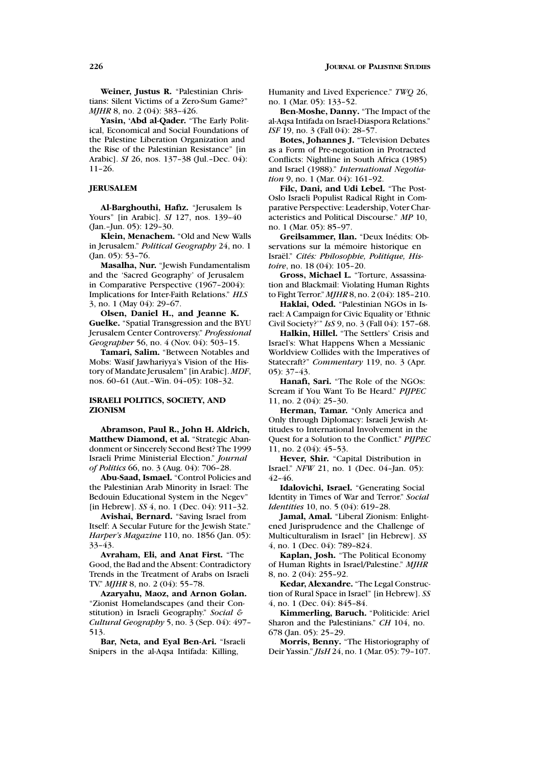**Weiner, Justus R.** "Palestinian Christians: Silent Victims of a Zero-Sum Game?" *MIHR* 8, no. 2 (04): 383-426.

**Yasin, 'Abd al-Qader.** "The Early Political, Economical and Social Foundations of the Palestine Liberation Organization and the Rise of the Palestinian Resistance" [in Arabic]. *SI* 26, nos. 137–38 (Jul.–Dec. 04): 11–26.

### **JERUSALEM**

**Al-Barghouthi, Hafiz.** "Jerusalem Is Yours" [in Arabic]. *SI* 127, nos. 139–40 (Jan.–Jun. 05): 129–30.

**Klein, Menachem.** "Old and New Walls in Jerusalem." *Political Geography* 24, no. 1 (Jan. 05): 53–76.

**Masalha, Nur.** "Jewish Fundamentalism and the 'Sacred Geography' of Jerusalem in Comparative Perspective (1967–2004): Implications for Inter-Faith Relations." *HLS* 3, no. 1 (May 04): 29–67.

**Olsen, Daniel H., and Jeanne K. Guelke.** "Spatial Transgression and the BYU Jerusalem Center Controversy." *Professional Geographer* 56, no. 4 (Nov. 04): 503–15.

**Tamari, Salim.** "Between Notables and Mobs: Wasif Jawhariyya's Vision of the History of Mandate Jerusalem" [in Arabic]. *MDF*, nos. 60–61 (Aut.–Win. 04–05): 108–32.

## **ISRAELI POLITICS, SOCIETY, AND ZIONISM**

**Abramson, Paul R., John H. Aldrich, Matthew Diamond, et al.** "Strategic Abandonment or Sincerely Second Best? The 1999 Israeli Prime Ministerial Election." *Journal of Politics* 66, no. 3 (Aug. 04): 706–28.

**Abu-Saad, Ismael.** "Control Policies and the Palestinian Arab Minority in Israel: The Bedouin Educational System in the Negev" [in Hebrew]. *SS* 4, no. 1 (Dec. 04): 911–32.

**Avishai, Bernard.** "Saving Israel from Itself: A Secular Future for the Jewish State." *Harper's Magazine* 110, no. 1856 (Jan. 05): 33–43.

**Avraham, Eli, and Anat First.** "The Good, the Bad and the Absent: Contradictory Trends in the Treatment of Arabs on Israeli TV." *MJHR* 8, no. 2 (04): 55–78.

**Azaryahu, Maoz, and Arnon Golan.** "Zionist Homelandscapes (and their Constitution) in Israeli Geography." *Social & Cultural Geography* 5, no. 3 (Sep. 04): 497– 513.

**Bar, Neta, and Eyal Ben-Ari.** "Israeli Snipers in the al-Aqsa Intifada: Killing,

Humanity and Lived Experience." *TWQ* 26, no. 1 (Mar. 05): 133–52.

**Ben-Moshe, Danny.** "The Impact of the al-Aqsa Intifada on Israel-Diaspora Relations." *ISF* 19, no. 3 (Fall 04): 28-57.

**Botes, Johannes J.** "Television Debates as a Form of Pre-negotiation in Protracted Conflicts: Nightline in South Africa (1985) and Israel (1988)." *International Negotiation* 9, no. 1 (Mar. 04): 161–92.

**Filc, Dani, and Udi Lebel.** "The Post-Oslo Israeli Populist Radical Right in Comparative Perspective: Leadership, Voter Characteristics and Political Discourse." *MP* 10, no. 1 (Mar. 05): 85–97.

**Greilsammer, Ilan.** "Deux Inédits: Observations sur la mémoire historique en Israël." Cités: Philosophie, Politique, His*toire*, no. 18 (04): 105–20.

**Gross, Michael L.** "Torture, Assassination and Blackmail: Violating Human Rights to Fight Terror." *MJHR* 8, no. 2 (04): 185–210.

**Haklai, Oded.** "Palestinian NGOs in Israel: A Campaign for Civic Equality or 'Ethnic Civil Society?'" *IsS* 9, no. 3 (Fall 04): 157–68.

**Halkin, Hillel.** "The Settlers' Crisis and Israel's: What Happens When a Messianic Worldview Collides with the Imperatives of Statecraft?" *Commentary* 119, no. 3 (Apr. 05): 37–43.

**Hanafi, Sari.** "The Role of the NGOs: Scream if You Want To Be Heard." *PIJPEC* 11, no. 2 (04): 25–30.

**Herman, Tamar.** "Only America and Only through Diplomacy: Israeli Jewish Attitudes to International Involvement in the Quest for a Solution to the Conflict." *PIJPEC* 11, no. 2 (04): 45–53.

**Hever, Shir.** "Capital Distribution in Israel." *NFW* 21, no. 1 (Dec. 04–Jan. 05): 42–46.

**Idalovichi, Israel.** "Generating Social Identity in Times of War and Terror." *Social Identities* 10, no. 5 (04): 619–28.

**Jamal, Amal.** "Liberal Zionism: Enlightened Jurisprudence and the Challenge of Multiculturalism in Israel" [in Hebrew]. *SS* 4, no. 1 (Dec. 04): 789–824.

**Kaplan, Josh.** "The Political Economy of Human Rights in Israel/Palestine." *MJHR* 8, no. 2 (04): 255–92.

**Kedar, Alexandre.** "The Legal Construction of Rural Space in Israel" [in Hebrew]. *SS* 4, no. 1 (Dec. 04): 845–84.

**Kimmerling, Baruch.** "Politicide: Ariel Sharon and the Palestinians." *CH* 104, no. 678 (Jan. 05): 25–29.

**Morris, Benny.** "The Historiography of Deir Yassin." *JIsH* 24, no. 1 (Mar. 05): 79–107.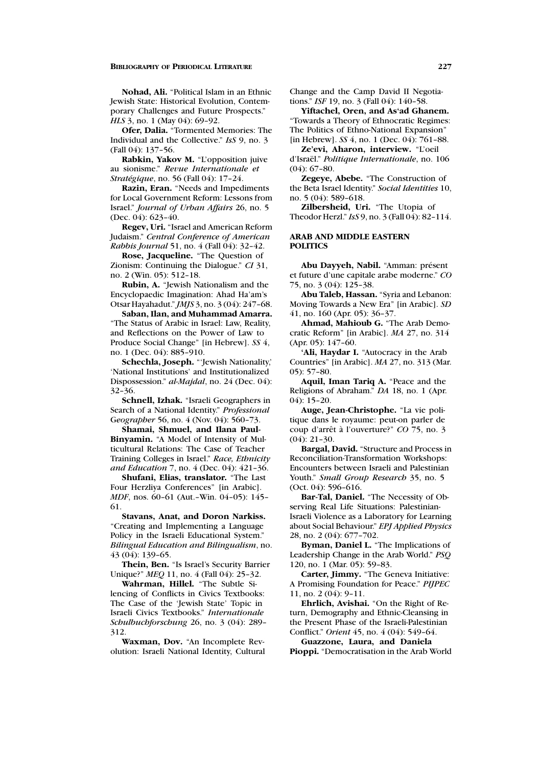**Nohad, Ali.** "Political Islam in an Ethnic Jewish State: Historical Evolution, Contemporary Challenges and Future Prospects." *HLS* 3, no. 1 (May 04): 69-92.

**Ofer, Dalia.** "Tormented Memories: The Individual and the Collective." *IsS* 9, no. 3 (Fall 04): 137–56.

**Rabkin, Yakov M.** "L'opposition juive au sionisme." *Revue Internationale et Stratégique*, no. 56 (Fall 04): 17-24.

**Razin, Eran.** "Needs and Impediments for Local Government Reform: Lessons from Israel." *Journal of Urban Affairs* 26, no. 5 (Dec. 04): 623–40.

**Regev, Uri.** "Israel and American Reform Judaism." *Central Conference of American Rabbis Journal* 51, no. 4 (Fall 04): 32–42.

**Rose, Jacqueline.** "The Question of Zionism: Continuing the Dialogue." *CI* 31, no. 2 (Win. 05): 512–18.

**Rubin, A.** "Jewish Nationalism and the Encyclopaedic Imagination: Ahad Ha'am's Otsar Hayahadut." *JMJS* 3, no. 3 (04): 247–68.

**Saban, Ilan, and Muhammad Amarra.** "The Status of Arabic in Israel: Law, Reality, and Reflections on the Power of Law to Produce Social Change" [in Hebrew]. *SS* 4, no. 1 (Dec. 04): 885–910.

**Schechla, Joseph.** "'Jewish Nationality,' 'National Institutions' and Institutionalized Dispossession." *al-Majdal*, no. 24 (Dec. 04): 32–36.

**Schnell, Izhak.** "Israeli Geographers in Search of a National Identity." *Professional* G*eographer* 56, no. 4 (Nov. 04): 560–73.

**Shamai, Shmuel, and Ilana Paul-Binyamin.** "A Model of Intensity of Multicultural Relations: The Case of Teacher Training Colleges in Israel." *Race, Ethnicity and Education* 7, no. 4 (Dec. 04): 421–36.

**Shufani, Elias, translator.** "The Last Four Herzliya Conferences" [in Arabic]. *MDF*, nos. 60–61 (Aut.–Win. 04–05): 145– 61.

**Stavans, Anat, and Doron Narkiss.** "Creating and Implementing a Language Policy in the Israeli Educational System." *Bilingual Education and Bilingualism*, no. 43 (04): 139–65.

**Thein, Ben.** "Is Israel's Security Barrier Unique?" *MEQ* 11, no. 4 (Fall 04): 25–32.

**Wahrman, Hillel.** "The Subtle Silencing of Conflicts in Civics Textbooks: The Case of the 'Jewish State' Topic in Israeli Civics Textbooks." *Internationale Schulbuchforschung* 26, no. 3 (04): 289– 312.

**Waxman, Dov.** "An Incomplete Revolution: Israeli National Identity, Cultural Change and the Camp David II Negotiations." *ISF* 19, no. 3 (Fall 04): 140–58.

**Yiftachel, Oren, and As'ad Ghanem.** "Towards a Theory of Ethnocratic Regimes: The Politics of Ethno-National Expansion" [in Hebrew]. *SS* 4, no. 1 (Dec. 04): 761–88.

**Ze'evi, Aharon, interview.** "L'oeil d'Israël." *Politique Internationale*, no. 106 (04): 67–80.

**Zegeye, Abebe.** "The Construction of the Beta Israel Identity." *Social Identities* 10, no. 5 (04): 589–618.

**Zilbersheid, Uri.** "The Utopia of Theodor Herzl." *IsS* 9, no. 3 (Fall 04): 82–114.

# **ARAB AND MIDDLE EASTERN POLITICS**

Abu Dayyeh, Nabil. "Amman: présent et future d'une capitale arabe moderne." *CO* 75, no. 3 (04): 125–38.

**Abu Taleb, Hassan.** "Syria and Lebanon: Moving Towards a New Era" [in Arabic]. *SD* 41, no. 160 (Apr. 05): 36–37.

**Ahmad, Mahioub G.** "The Arab Democratic Reform" [in Arabic]. *MA* 27, no. 314 (Apr. 05): 147–60.

**'Ali, Haydar I.** "Autocracy in the Arab Countries" [in Arabic]. *MA* 27, no. 313 (Mar. 05): 57–80.

**Aquil, Iman Tariq A.** "Peace and the Religions of Abraham." *DA* 18, no. 1 (Apr. 04): 15–20.

**Auge, Jean-Christophe.** "La vie politique dans le royaume: peut-on parler de coup d'arrêt à l'ouverture?" *CO* 75, no. 3 (04): 21–30.

**Bargal, David.** "Structure and Process in Reconciliation-Transformation Workshops: Encounters between Israeli and Palestinian Youth." *Small Group Research* 35, no. 5 (Oct. 04): 596–616.

**Bar-Tal, Daniel.** "The Necessity of Observing Real Life Situations: Palestinian-Israeli Violence as a Laboratory for Learning about Social Behaviour." *EPJ Applied Physics* 28, no. 2 (04): 677–702.

**Byman, Daniel L.** "The Implications of Leadership Change in the Arab World." *PSQ* 120, no. 1 (Mar. 05): 59–83.

**Carter, Jimmy.** "The Geneva Initiative: A Promising Foundation for Peace." *PIJPEC* 11, no. 2 (04): 9–11.

**Ehrlich, Avishai.** "On the Right of Return, Demography and Ethnic-Cleansing in the Present Phase of the Israeli-Palestinian Conflict." *Orient* 45, no. 4 (04): 549–64.

**Guazzone, Laura, and Daniela Pioppi.** "Democratisation in the Arab World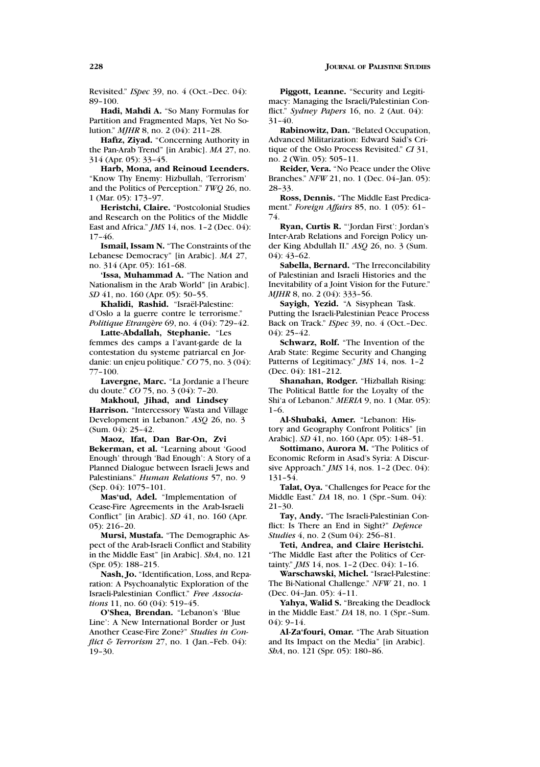Revisited." *ISpec* 39, no. 4 (Oct.–Dec. 04): 89–100.

**Hadi, Mahdi A.** "So Many Formulas for Partition and Fragmented Maps, Yet No Solution." *MJHR* 8, no. 2 (04): 211–28.

**Hafiz, Ziyad.** "Concerning Authority in the Pan-Arab Trend" [in Arabic]. *MA* 27, no. 314 (Apr. 05): 33–45.

**Harb, Mona, and Reinoud Leenders.** "Know Thy Enemy: Hizbullah, 'Terrorism' and the Politics of Perception." *TWQ* 26, no. 1 (Mar. 05): 173–97.

**Heristchi, Claire.** "Postcolonial Studies and Research on the Politics of the Middle East and Africa." *JMS* 14, nos. 1–2 (Dec. 04): 17–46.

**Ismail, Issam N.** "The Constraints of the Lebanese Democracy" [in Arabic]. *MA* 27, no. 314 (Apr. 05): 161–68.

**'Issa, Muhammad A.** "The Nation and Nationalism in the Arab World" [in Arabic]. *SD* 41, no. 160 (Apr. 05): 50–55.

Khalidi, Rashid. "Israël-Palestine: d'Oslo a la guerre contre le terrorisme." *Politique Etrang`ere* 69, no. 4 (04): 729–42.

**Latte-Abdallah, Stephanie.** "Les femmes des camps a l'avant-garde de la contestation du systeme patriarcal en Jordanie: un enjeu politique." *CO* 75, no. 3 (04): 77–100.

**Lavergne, Marc.** "La Jordanie a l'heure du doute." *CO* 75, no. 3 (04): 7–20.

**Makhoul, Jihad, and Lindsey Harrison.** "Intercessory Wasta and Village Development in Lebanon." *ASQ* 26, no. 3 (Sum. 04): 25–42.

**Maoz, Ifat, Dan Bar-On, Zvi Bekerman, et al.** "Learning about 'Good Enough' through 'Bad Enough': A Story of a Planned Dialogue between Israeli Jews and Palestinians." *Human Relations* 57, no. 9 (Sep. 04): 1075–101.

**Mas'ud, Adel.** "Implementation of Cease-Fire Agreements in the Arab-Israeli Conflict" [in Arabic]. *SD* 41, no. 160 (Apr. 05): 216–20.

**Mursi, Mustafa.** "The Demographic Aspect of the Arab-Israeli Conflict and Stability in the Middle East" [in Arabic]. *ShA*, no. 121 (Spr. 05): 188–215.

**Nash, Jo.** "Identification, Loss, and Reparation: A Psychoanalytic Exploration of the Israeli-Palestinian Conflict." *Free Associations* 11, no. 60 (04): 519–45.

**O'Shea, Brendan.** "Lebanon's 'Blue Line': A New International Border or Just Another Cease-Fire Zone?" *Studies in Conflict & Terrorism* 27, no. 1 (Jan.–Feb. 04): 19–30.

**Piggott, Leanne.** "Security and Legitimacy: Managing the Israeli/Palestinian Conflict." *Sydney Papers* 16, no. 2 (Aut. 04): 31–40.

**Rabinowitz, Dan.** "Belated Occupation, Advanced Militarization: Edward Said's Critique of the Oslo Process Revisited." *CI* 31, no. 2 (Win. 05): 505–11.

**Reider, Vera.** "No Peace under the Olive Branches." *NFW* 21, no. 1 (Dec. 04–Jan. 05): 28–33.

**Ross, Dennis.** "The Middle East Predicament." *Foreign Affairs* 85, no. 1 (05): 61– 74.

**Ryan, Curtis R.** "'Jordan First': Jordan's Inter-Arab Relations and Foreign Policy under King Abdullah II." *ASQ* 26, no. 3 (Sum. 04): 43–62.

**Sabella, Bernard.** "The Irreconcilability of Palestinian and Israeli Histories and the Inevitability of a Joint Vision for the Future." *MJHR* 8, no. 2 (04): 333-56.

**Sayigh, Yezid.** "A Sisyphean Task. Putting the Israeli-Palestinian Peace Process Back on Track." *ISpec* 39, no. 4 (Oct.–Dec. 04): 25–42.

**Schwarz, Rolf.** "The Invention of the Arab State: Regime Security and Changing Patterns of Legitimacy." *JMS* 14, nos. 1–2 (Dec. 04): 181–212.

**Shanahan, Rodger.** "Hizballah Rising: The Political Battle for the Loyalty of the Shi'a of Lebanon." *MERIA* 9, no. 1 (Mar. 05): 1–6.

**Al-Shubaki, Amer.** "Lebanon: History and Geography Confront Politics" [in Arabic]. *SD* 41, no. 160 (Apr. 05): 148–51.

**Sottimano, Aurora M.** "The Politics of Economic Reform in Asad's Syria: A Discursive Approach." *JMS* 14, nos. 1–2 (Dec. 04): 131–54.

**Talat, Oya.** "Challenges for Peace for the Middle East." *DA* 18, no. 1 (Spr.–Sum. 04): 21–30.

**Tay, Andy.** "The Israeli-Palestinian Conflict: Is There an End in Sight?" *Defence Studies* 4, no. 2 (Sum 04): 256–81.

**Teti, Andrea, and Claire Heristchi.** "The Middle East after the Politics of Certainty." *JMS* 14, nos. 1–2 (Dec. 04): 1–16.

**Warschawski, Michel.** "Israel-Palestine: The Bi-National Challenge." *NFW* 21, no. 1 (Dec. 04–Jan. 05): 4–11.

**Yahya, Walid S.** "Breaking the Deadlock in the Middle East." *DA* 18, no. 1 (Spr.–Sum.  $(04): 9-14.$ 

**Al-Za'fouri, Omar.** "The Arab Situation and Its Impact on the Media" [in Arabic]. *ShA*, no. 121 (Spr. 05): 180–86.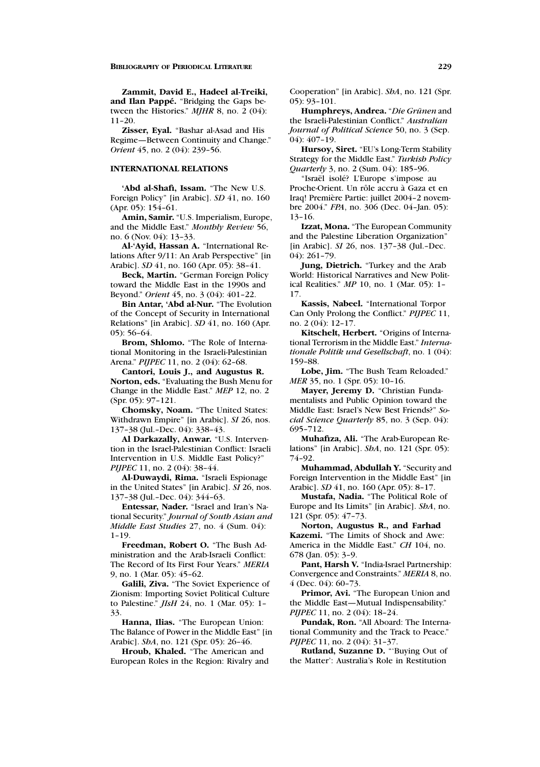**Zammit, David E., Hadeel al-Treiki, and Ilan Pappe. ´** "Bridging the Gaps between the Histories." *MJHR* 8, no. 2 (04): 11–20.

**Zisser, Eyal.** "Bashar al-Asad and His Regime—Between Continuity and Change." *Orient* 45, no. 2 (04): 239–56.

### **INTERNATIONAL RELATIONS**

**'Abd al-Shafi, Issam.** "The New U.S. Foreign Policy" [in Arabic]. *SD* 41, no. 160 (Apr. 05): 154–61.

**Amin, Samir.** "U.S. Imperialism, Europe, and the Middle East." *Monthly Review* 56, no. 6 (Nov. 04): 13–33.

**Al-'Ayid, Hassan A.** "International Relations After 9/11: An Arab Perspective" [in Arabic]. *SD* 41, no. 160 (Apr. 05): 38–41.

**Beck, Martin.** "German Foreign Policy toward the Middle East in the 1990s and Beyond." *Orient* 45, no. 3 (04): 401–22.

**Bin Antar, 'Abd al-Nur.** "The Evolution of the Concept of Security in International Relations" [in Arabic]. *SD* 41, no. 160 (Apr. 05): 56–64.

**Brom, Shlomo.** "The Role of International Monitoring in the Israeli-Palestinian Arena." *PIJPEC* 11, no. 2 (04): 62–68.

**Cantori, Louis J., and Augustus R. Norton, eds.** "Evaluating the Bush Menu for Change in the Middle East." *MEP* 12, no. 2 (Spr. 05): 97–121.

**Chomsky, Noam.** "The United States: Withdrawn Empire" [in Arabic]. *SI* 26, nos. 137–38 (Jul.–Dec. 04): 338–43.

**Al Darkazally, Anwar.** "U.S. Intervention in the Israel-Palestinian Conflict: Israeli Intervention in U.S. Middle East Policy?" *PIJPEC* 11, no. 2 (04): 38-44.

**Al-Duwaydi, Rima.** "Israeli Espionage in the United States" [in Arabic]. *SI* 26, nos. 137–38 (Jul.–Dec. 04): 344–63.

**Entessar, Nader.** "Israel and Iran's National Security." *Journal of South Asian and Middle East Studies* 27, no. 4 (Sum. 04): 1–19.

**Freedman, Robert O.** "The Bush Administration and the Arab-Israeli Conflict: The Record of Its First Four Years." *MERIA* 9, no. 1 (Mar. 05): 45–62.

**Galili, Ziva.** "The Soviet Experience of Zionism: Importing Soviet Political Culture to Palestine." *JIsH* 24, no. 1 (Mar. 05): 1– 33.

**Hanna, Ilias.** "The European Union: The Balance of Power in the Middle East" [in Arabic]. *ShA*, no. 121 (Spr. 05): 26–46.

**Hroub, Khaled.** "The American and European Roles in the Region: Rivalry and Cooperation" [in Arabic]. *ShA*, no. 121 (Spr. 05): 93–101.

Humphreys, Andrea. "Die Grünen and the Israeli-Palestinian Conflict." *Australian Journal of Political Science* 50, no. 3 (Sep. 04): 407–19.

**Hursoy, Siret.** "EU's Long-Term Stability Strategy for the Middle East." *Turkish Policy Quarterly* 3, no. 2 (Sum. 04): 185–96.

"Israël isolé? L'Europe s'impose au Proche-Orient. Un rôle accru à Gaza et en Iraq! Première Partie: juillet 2004-2 novembre 2004." *FPA*, no. 306 (Dec. 04–Jan. 05): 13–16.

**Izzat, Mona.** "The European Community and the Palestine Liberation Organization" [in Arabic]. *SI* 26, nos. 137–38 (Jul.–Dec. 04): 261–79.

**Jung, Dietrich.** "Turkey and the Arab World: Historical Narratives and New Political Realities." *MP* 10, no. 1 (Mar. 05): 1– 17.

**Kassis, Nabeel.** "International Torpor Can Only Prolong the Conflict." *PIJPEC* 11, no. 2 (04): 12–17.

**Kitschelt, Herbert.** "Origins of International Terrorism in the Middle East." *Internationale Politik und Gesellschaft*, no. 1 (04): 159–88.

**Lobe, Jim.** "The Bush Team Reloaded." *MER* 35, no. 1 (Spr. 05): 10–16.

**Mayer, Jeremy D.** "Christian Fundamentalists and Public Opinion toward the Middle East: Israel's New Best Friends?" *Social Science Quarterly* 85, no. 3 (Sep. 04): 695–712.

**Muhafiza, Ali.** "The Arab-European Relations" [in Arabic]. *ShA*, no. 121 (Spr. 05): 74–92.

**Muhammad, Abdullah Y.** "Security and Foreign Intervention in the Middle East" [in Arabic]. *SD* 41, no. 160 (Apr. 05): 8–17.

**Mustafa, Nadia.** "The Political Role of Europe and Its Limits" [in Arabic]. *ShA*, no. 121 (Spr. 05): 47–73.

**Norton, Augustus R., and Farhad Kazemi.** "The Limits of Shock and Awe: America in the Middle East." *CH* 104, no. 678 (Jan. 05): 3–9.

**Pant, Harsh V.** "India-Israel Partnership: Convergence and Constraints." *MERIA* 8, no. 4 (Dec. 04): 60–73.

**Primor, Avi.** "The European Union and the Middle East—Mutual Indispensability." *PIJPEC* 11, no. 2 (04): 18–24.

**Pundak, Ron.** "All Aboard: The International Community and the Track to Peace." *PIJPEC* 11, no. 2 (04): 31-37.

**Rutland, Suzanne D.** "'Buying Out of the Matter': Australia's Role in Restitution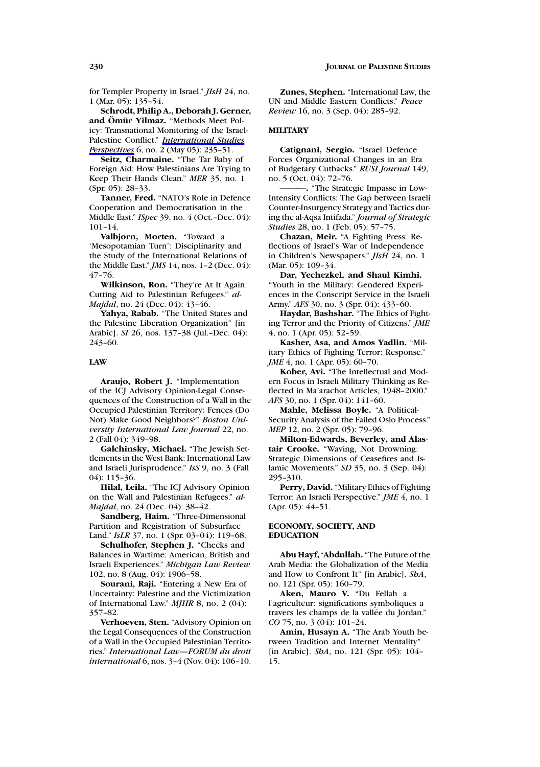for Templer Property in Israel." *JIsH* 24, no. 1 (Mar. 05): 135–54.

**Schrodt, Philip A., Deborah J. Gerner, and Om¨ ur Yilmaz. ¨** "Methods Meet Policy: Transnational Monitoring of the Israel-Palestine Conflict." *International Studies Perspectives* 6, no. 2 (May 05): 235–51.

**Seitz, Charmaine.** "The Tar Baby of Foreign Aid: How Palestinians Are Trying to Keep Their Hands Clean." *MER* 35, no. 1 (Spr. 05): 28–33.

**Tanner, Fred.** "NATO's Role in Defence Cooperation and Democratisation in the Middle East." *ISpec* 39, no. 4 (Oct.–Dec. 04): 101–14.

**Valbjorn, Morten.** "Toward a 'Mesopotamian Turn': Disciplinarity and the Study of the International Relations of the Middle East." *JMS* 14, nos. 1–2 (Dec. 04): 47–76.

**Wilkinson, Ron.** "They're At It Again: Cutting Aid to Palestinian Refugees." *al-Majdal*, no. 24 (Dec. 04): 43–46.

**Yahya, Rabab.** "The United States and the Palestine Liberation Organization" [in Arabic]. *SI* 26, nos. 137–38 (Jul.–Dec. 04): 243–60.

### **LAW**

**Araujo, Robert J.** "Implementation of the ICJ Advisory Opinion-Legal Consequences of the Construction of a Wall in the Occupied Palestinian Territory: Fences (Do Not) Make Good Neighbors?" *Boston University International Law Journal* 22, no. 2 (Fall 04): 349–98.

**Galchinsky, Michael.** "The Jewish Settlements in the West Bank: International Law and Israeli Jurisprudence." *IsS* 9, no. 3 (Fall 04): 115–36.

**Hilal, Leila.** "The ICJ Advisory Opinion on the Wall and Palestinian Refugees." *al-Majdal*, no. 24 (Dec. 04): 38–42.

**Sandberg, Haim.** "Three-Dimensional Partition and Registration of Subsurface Land." *IsLR* 37, no. 1 (Spr. 03–04): 119–68.

**Schulhofer, Stephen J.** "Checks and Balances in Wartime: American, British and Israeli Experiences." *Michigan Law Review* 102, no. 8 (Aug. 04): 1906–58.

**Sourani, Raji.** "Entering a New Era of Uncertainty: Palestine and the Victimization of International Law." *MJHR* 8, no. 2 (04): 357–82.

**Verhoeven, Sten.** "Advisory Opinion on the Legal Consequences of the Construction of a Wall in the Occupied Palestinian Territories." *International Law—FORUM du droit international* 6, nos. 3–4 (Nov. 04): 106–10.

**Zunes, Stephen.** "International Law, the UN and Middle Eastern Conflicts." *Peace Review* 16, no. 3 (Sep. 04): 285–92.

### **MILITARY**

**Catignani, Sergio.** "Israel Defence Forces Organizational Changes in an Era of Budgetary Cutbacks." *RUSI Journal* 149, no. 5 (Oct. 04): 72–76.

**———.** "The Strategic Impasse in Low-Intensity Conflicts: The Gap between Israeli Counter-Insurgency Strategy and Tactics during the al-Aqsa Intifada." *Journal of Strategic Studies* 28, no. 1 (Feb. 05): 57–75.

**Chazan, Meir.** "A Fighting Press: Reflections of Israel's War of Independence in Children's Newspapers." *JIsH* 24, no. 1 (Mar. 05): 109-34.

**Dar, Yechezkel, and Shaul Kimhi.** "Youth in the Military: Gendered Experiences in the Conscript Service in the Israeli Army." *AFS* 30, no. 3 (Spr. 04): 433–60.

**Haydar, Bashshar.** "The Ethics of Fighting Terror and the Priority of Citizens." *JME* 4, no. 1 (Apr. 05): 52–59.

**Kasher, Asa, and Amos Yadlin.** "Military Ethics of Fighting Terror: Response." *JME* 4, no. 1 (Apr. 05): 60-70.

**Kober, Avi.** "The Intellectual and Modern Focus in Israeli Military Thinking as Reflected in Ma'arachot Articles, 1948–2000." *AFS* 30, no. 1 (Spr. 04): 141-60.

**Mahle, Melissa Boyle.** "A Political-Security Analysis of the Failed Oslo Process." *MEP* 12, no. 2 (Spr. 05): 79–96.

**Milton-Edwards, Beverley, and Alastair Crooke.** "Waving, Not Drowning: Strategic Dimensions of Ceasefires and Islamic Movements." *SD* 35, no. 3 (Sep. 04): 295–310.

**Perry, David.** "Military Ethics of Fighting Terror: An Israeli Perspective." *JME* 4, no. 1 (Apr. 05): 44-51.

### **ECONOMY, SOCIETY, AND EDUCATION**

**Abu Hayf, 'Abdullah.** "The Future of the Arab Media: the Globalization of the Media and How to Confront It" [in Arabic]. *ShA*, no. 121 (Spr. 05): 160–79.

**Aken, Mauro V.** "Du Fellah a l'agriculteur: significations symboliques a travers les champs de la vallée du Jordan." *CO* 75, no. 3 (04): 101–24.

**Amin, Husayn A.** "The Arab Youth between Tradition and Internet Mentality" [in Arabic]. *ShA*, no. 121 (Spr. 05): 104– 15.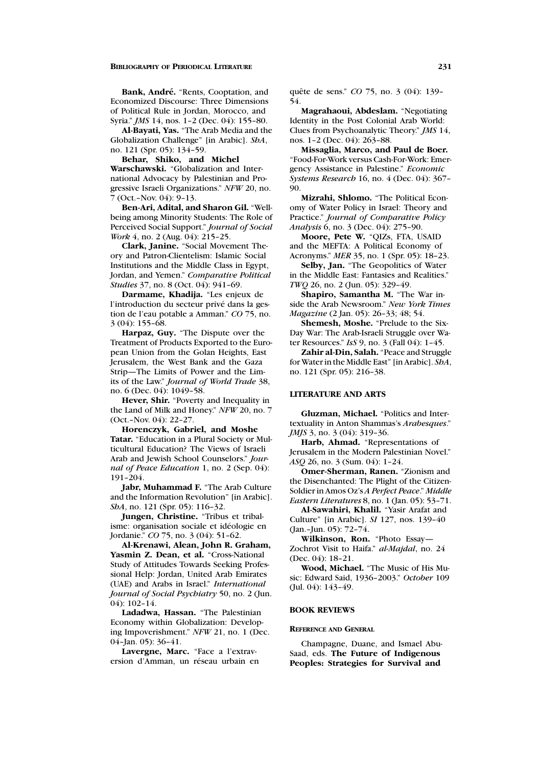Bank, André. "Rents, Cooptation, and Economized Discourse: Three Dimensions of Political Rule in Jordan, Morocco, and Syria." *JMS* 14, nos. 1–2 (Dec. 04): 155–80.

**Al-Bayati, Yas.** "The Arab Media and the Globalization Challenge" [in Arabic]. *ShA*, no. 121 (Spr. 05): 134–59.

**Behar, Shiko, and Michel**

**Warschawski.** "Globalization and International Advocacy by Palestinian and Progressive Israeli Organizations." *NFW* 20, no. 7 (Oct.–Nov. 04): 9–13.

**Ben-Ari, Adital, and Sharon Gil.** "Wellbeing among Minority Students: The Role of Perceived Social Support." *Journal of Social Work* 4, no. 2 (Aug. 04): 215–25.

**Clark, Janine.** "Social Movement Theory and Patron-Clientelism: Islamic Social Institutions and the Middle Class in Egypt, Jordan, and Yemen." *Comparative Political Studies* 37, no. 8 (Oct. 04): 941–69.

**Darmame, Khadija.** "Les enjeux de l'introduction du secteur privé dans la gestion de l'eau potable a Amman." *CO* 75, no. 3 (04): 155–68.

**Harpaz, Guy.** "The Dispute over the Treatment of Products Exported to the European Union from the Golan Heights, East Jerusalem, the West Bank and the Gaza Strip—The Limits of Power and the Limits of the Law." *Journal of World Trade* 38, no. 6 (Dec. 04): 1049–58.

**Hever, Shir.** "Poverty and Inequality in the Land of Milk and Honey." *NFW* 20, no. 7 (Oct.–Nov. 04): 22–27.

**Horenczyk, Gabriel, and Moshe Tatar.** "Education in a Plural Society or Multicultural Education? The Views of Israeli Arab and Jewish School Counselors." *Journal of Peace Education* 1, no. 2 (Sep. 04): 191–204.

**Jabr, Muhammad F.** "The Arab Culture and the Information Revolution" [in Arabic]. *ShA*, no. 121 (Spr. 05): 116–32.

**Jungen, Christine.** "Tribus et tribalisme: organisation sociale et idéologie en Jordanie." *CO* 75, no. 3 (04): 51–62.

**Al-Krenawi, Alean, John R. Graham,** Yasmin Z. Dean, et al. "Cross-National Study of Attitudes Towards Seeking Professional Help: Jordan, United Arab Emirates (UAE) and Arabs in Israel." *International Journal of Social Psychiatry* 50, no. 2 (Jun. 04): 102–14.

**Ladadwa, Hassan.** "The Palestinian Economy within Globalization: Developing Impoverishment." *NFW* 21, no. 1 (Dec. 04–Jan. 05): 36–41.

**Lavergne, Marc.** "Face a l'extraversion d'Amman, un réseau urbain en quête de sens." *CO* 75, no. 3 (04): 139-54.

**Magrahaoui, Abdeslam.** "Negotiating Identity in the Post Colonial Arab World: Clues from Psychoanalytic Theory." *JMS* 14, nos. 1–2 (Dec. 04): 263–88.

**Missaglia, Marco, and Paul de Boer.** "Food-For-Work versus Cash-For-Work: Emergency Assistance in Palestine." *Economic Systems Research* 16, no. 4 (Dec. 04): 367– 90.

**Mizrahi, Shlomo.** "The Political Economy of Water Policy in Israel: Theory and Practice." *Journal of Comparative Policy Analysis* 6, no. 3 (Dec. 04): 275–90.

**Moore, Pete W.** "QIZs, FTA, USAID and the MEFTA: A Political Economy of Acronyms." *MER* 35, no. 1 (Spr. 05): 18–23.

**Selby, Jan.** "The Geopolitics of Water in the Middle East: Fantasies and Realities." *TWQ* 26, no. 2 (Jun. 05): 329–49.

**Shapiro, Samantha M.** "The War inside the Arab Newsroom." *New York Times Magazine* (2 Jan. 05): 26–33; 48; 54.

**Shemesh, Moshe.** "Prelude to the Six-Day War: The Arab-Israeli Struggle over Water Resources." *IsS* 9, no. 3 (Fall 04): 1–45.

**Zahir al-Din, Salah.** "Peace and Struggle for Water in the Middle East" [in Arabic]. *ShA*, no. 121 (Spr. 05): 216–38.

# **LITERATURE AND ARTS**

**Gluzman, Michael.** "Politics and Intertextuality in Anton Shammas's *Arabesques*." *JMJS* 3, no. 3 (04): 319-36.

**Harb, Ahmad.** "Representations of Jerusalem in the Modern Palestinian Novel." *ASQ* 26, no. 3 (Sum. 04): 1–24.

**Omer-Sherman, Ranen.** "Zionism and the Disenchanted: The Plight of the Citizen-Soldier in Amos Oz's *A Perfect Peace*." *Middle Eastern Literatures* 8, no. 1 (Jan. 05): 53–71.

**Al-Sawahiri, Khalil.** "Yasir Arafat and Culture" [in Arabic]. *SI* 127, nos. 139–40 (Jan.–Jun. 05): 72–74.

**Wilkinson, Ron.** "Photo Essay— Zochrot Visit to Haifa." *al-Majdal*, no. 24 (Dec. 04): 18–21.

**Wood, Michael.** "The Music of His Music: Edward Said, 1936–2003." *October* 109 (Jul. 04): 143–49.

#### **BOOK REVIEWS**

### **REFERENCE AND GENERAL**

Champagne, Duane, and Ismael Abu-Saad, eds. **The Future of Indigenous Peoples: Strategies for Survival and**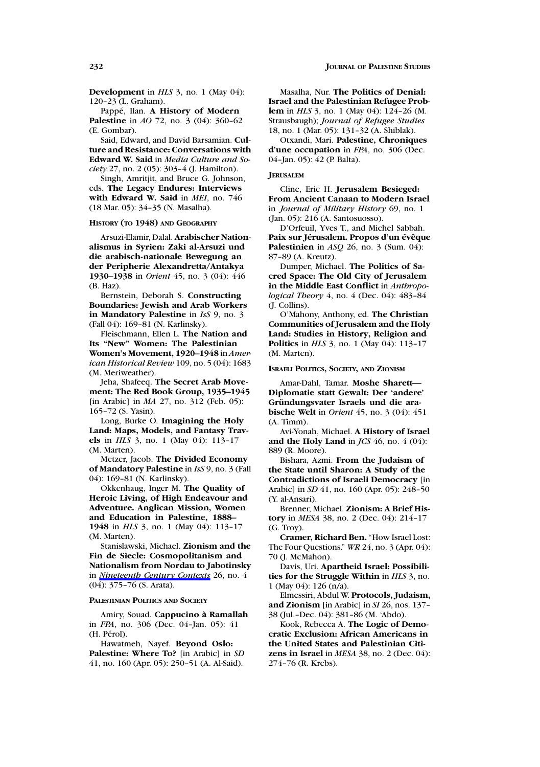**Development** in *HLS* 3, no. 1 (May 04): 120–23 (L. Graham).

Pappé, Ilan. A **History of Modern Palestine** in *AO* 72, no. 3 (04): 360–62 (E. Gombar).

Said, Edward, and David Barsamian. **Culture and Resistance: Conversations with Edward W. Said** in *Media Culture and Society* 27, no. 2 (05): 303–4 (J. Hamilton).

Singh, Amritjit, and Bruce G. Johnson, eds. **The Legacy Endures: Interviews with Edward W. Said** in *MEI*, no. 746 (18 Mar. 05): 34–35 (N. Masalha).

### **HISTORY (TO 1948) AND GEOGRAPHY**

Arsuzi-Elamir, Dalal. **Arabischer Nationalismus in Syrien: Zaki al-Arsuzi und die arabisch-nationale Bewegung an der Peripherie Alexandretta/Antakya 1930–1938** in *Orient* 45, no. 3 (04): 446 (B. Haz).

Bernstein, Deborah S. **Constructing Boundaries: Jewish and Arab Workers in Mandatory Palestine** in *IsS* 9, no. 3 (Fall 04): 169–81 (N. Karlinsky).

Fleischmann, Ellen L. **The Nation and Its "New" Women: The Palestinian Women's Movement, 1920–1948** in *American Historical Review* 109, no. 5 (04): 1683 (M. Meriweather).

Jeha, Shafeeq. **The Secret Arab Movement: The Red Book Group, 1935–1945** [in Arabic] in *MA* 27, no. 312 (Feb. 05): 165–72 (S. Yasin).

Long, Burke O. **Imagining the Holy Land: Maps, Models, and Fantasy Travels** in *HLS* 3, no. 1 (May 04): 113–17 (M. Marten).

Metzer, Jacob. **The Divided Economy of Mandatory Palestine** in *IsS* 9, no. 3 (Fall 04): 169–81 (N. Karlinsky).

Okkenhaug, Inger M. **The Quality of Heroic Living, of High Endeavour and Adventure. Anglican Mission, Women and Education in Palestine, 1888– 1948** in *HLS* 3, no. 1 (May 04): 113–17 (M. Marten).

Stanislawski, Michael. **Zionism and the Fin de Siecle: Cosmopolitanism and Nationalism from Nordau to Jabotinsky** in *Nineteenth Century Contexts* 26, no. 4 (04): 375–76 (S. Arata).

### **PALESTINIAN POLITICS AND SOCIETY**

Amiry, Souad. **Cappucino a` Ramallah** in *FPA*, no. 306 (Dec. 04–Jan. 05): 41 (H. Pérol).

Hawatmeh, Nayef. **Beyond Oslo: Palestine: Where To?** [in Arabic] in *SD* 41, no. 160 (Apr. 05): 250–51 (A. Al-Said).

Masalha, Nur. **The Politics of Denial: Israel and the Palestinian Refugee Problem** in *HLS* 3, no. 1 (May 04): 124–26 (M. Strausbaugh); *Journal of Refugee Studies* 18, no. 1 (Mar. 05): 131–32 (A. Shiblak).

Otxandi, Mari. **Palestine, Chroniques d'une occupation** in *FPA*, no. 306 (Dec. 04–Jan. 05): 42 (P. Balta).

### **JERUSALEM**

Cline, Eric H. **Jerusalem Besieged: From Ancient Canaan to Modern Israel** in *Journal of Military History* 69, no. 1 (Jan. 05): 216 (A. Santosuosso).

D'Orfeuil, Yves T., and Michel Sabbah. **Paix sur Jérusalem. Propos d'un évêque Palestinien** in *ASQ* 26, no. 3 (Sum. 04): 87–89 (A. Kreutz).

Dumper, Michael. **The Politics of Sacred Space: The Old City of Jerusalem in the Middle East Conflict** in *Anthropological Theory* 4, no. 4 (Dec. 04): 483–84 (J. Collins).

O'Mahony, Anthony, ed. **The Christian Communities of Jerusalem and the Holy Land: Studies in History, Religion and Politics** in *HLS* 3, no. 1 (May 04): 113–17 (M. Marten).

**ISRAELI POLITICS, SOCIETY, AND ZIONISM**

Amar-Dahl, Tamar. **Moshe Sharett— Diplomatie statt Gewalt: Der 'andere' Grundungsvater Israels und die ara- ¨ bische Welt** in *Orient* 45, no. 3 (04): 451 (A. Timm).

Avi-Yonah, Michael. **A History of Israel and the Holy Land** in *JCS* 46, no. 4 (04): 889 (R. Moore).

Bishara, Azmi. **From the Judaism of the State until Sharon: A Study of the Contradictions of Israeli Democracy** [in Arabic] in *SD* 41, no. 160 (Apr. 05): 248–50 (Y. al-Ansari).

Brenner, Michael. **Zionism: A Brief History** in *MESA* 38, no. 2 (Dec. 04): 214–17 (G. Troy).

**Cramer, Richard Ben.** "How Israel Lost: The Four Questions." *WR* 24, no. 3 (Apr. 04): 70 (J. McMahon).

Davis, Uri. **Apartheid Israel: Possibilities for the Struggle Within** in *HLS* 3, no. 1 (May 04): 126 (n/a).

Elmessiri, Abdul W. **Protocols, Judaism, and Zionism** [in Arabic] in *SI* 26, nos. 137– 38 (Jul.–Dec. 04): 381–86 (M. 'Abdo).

Kook, Rebecca A. **The Logic of Democratic Exclusion: African Americans in the United States and Palestinian Citizens in Israel** in *MESA* 38, no. 2 (Dec. 04): 274–76 (R. Krebs).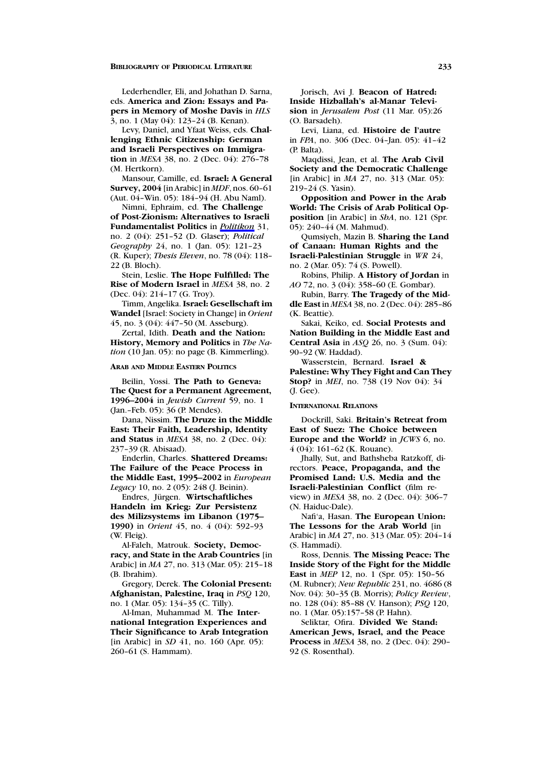Lederhendler, Eli, and Johathan D. Sarna, eds. **America and Zion: Essays and Papers in Memory of Moshe Davis** in *HLS* 3, no. 1 (May 04): 123–24 (B. Kenan).

Levy, Daniel, and Yfaat Weiss, eds. **Challenging Ethnic Citizenship: German and Israeli Perspectives on Immigration** in *MESA* 38, no. 2 (Dec. 04): 276–78 (M. Hertkorn).

Mansour, Camille, ed. **Israel: A General Survey, 2004** [in Arabic] in *MDF*, nos. 60–61 (Aut. 04–Win. 05): 184–94 (H. Abu Naml).

Nimni, Ephraim, ed. **The Challenge of Post-Zionism: Alternatives to Israeli Fundamentalist Politics** in *Politikon* 31, no. 2 (04): 251–52 (D. Glaser); *Political Geography* 24, no. 1 (Jan. 05): 121–23 (R. Kuper); *Thesis Eleven*, no. 78 (04): 118– 22 (B. Bloch).

Stein, Leslie. **The Hope Fulfilled: The Rise of Modern Israel** in *MESA* 38, no. 2 (Dec. 04): 214–17 (G. Troy).

Timm, Angelika. **Israel: Gesellschaft im Wandel** [Israel: Society in Change] in *Orient* 45, no. 3 (04): 447–50 (M. Asseburg).

Zertal, Idith. **Death and the Nation: History, Memory and Politics** in *The Nation* (10 Jan. 05): no page (B. Kimmerling).

#### **ARAB AND MIDDLE EASTERN POLITICS**

Beilin, Yossi. **The Path to Geneva: The Quest for a Permanent Agreement, 1996–2004** in *Jewish Current* 59, no. 1 (Jan.–Feb. 05): 36 (P. Mendes).

Dana, Nissim. **The Druze in the Middle East: Their Faith, Leadership, Identity and Status** in *MESA* 38, no. 2 (Dec. 04): 237–39 (R. Abisaad).

Enderlin, Charles. **Shattered Dreams: The Failure of the Peace Process in the Middle East, 1995–2002** in *European Legacy* 10, no. 2 (05): 248 (J. Beinin).

Endres, Jürgen. Wirtschaftliches **Handeln im Krieg: Zur Persistenz des Milizsystems im Libanon (1975– 1990)** in *Orient* 45, no. 4 (04): 592–93 (W. Fleig).

Al-Faleh, Matrouk. **Society, Democracy, and State in the Arab Countries** [in Arabic] in *MA* 27, no. 313 (Mar. 05): 215–18 (B. Ibrahim).

Gregory, Derek. **The Colonial Present: Afghanistan, Palestine, Iraq** in *PSQ* 120, no. 1 (Mar. 05): 134–35 (C. Tilly).

Al-Iman, Muhammad M. **The International Integration Experiences and Their Significance to Arab Integration** [in Arabic] in *SD* 41, no. 160 (Apr. 05): 260–61 (S. Hammam).

Jorisch, Avi J. **Beacon of Hatred: Inside Hizballah's al-Manar Television** in *Jerusalem Post* (11 Mar. 05):26 (O. Barsadeh).

Levi, Liana, ed. **Histoire de l'autre** in *FPA*, no. 306 (Dec. 04–Jan. 05): 41–42 (P. Balta).

Maqdissi, Jean, et al. **The Arab Civil Society and the Democratic Challenge** [in Arabic] in *MA* 27, no. 313 (Mar. 05): 219–24 (S. Yasin).

**Opposition and Power in the Arab World: The Crisis of Arab Political Opposition** [in Arabic] in *ShA*, no. 121 (Spr. 05): 240–44 (M. Mahmud).

Qumsiyeh, Mazin B. **Sharing the Land of Canaan: Human Rights and the Israeli-Palestinian Struggle** in *WR* 24, no. 2 (Mar. 05): 74 (S. Powell).

Robins, Philip. **A History of Jordan** in *AO* 72, no. 3 (04): 358–60 (E. Gombar).

Rubin, Barry. **The Tragedy of the Middle East** in *MESA* 38, no. 2 (Dec. 04): 285–86 (K. Beattie).

Sakai, Keiko, ed. **Social Protests and Nation Building in the Middle East and Central Asia** in *ASQ* 26, no. 3 (Sum. 04): 90–92 (W. Haddad).

Wasserstein, Bernard. **Israel & Palestine: Why They Fight and Can They Stop?** in *MEI*, no. 738 (19 Nov 04): 34 (J. Gee).

#### **INTERNATIONAL RELATIONS**

Dockrill, Saki. **Britain's Retreat from East of Suez: The Choice between Europe and the World?** in *JCWS* 6, no. 4 (04): 161–62 (K. Rouane).

Jhally, Sut, and Bathsheba Ratzkoff, directors. **Peace, Propaganda, and the Promised Land: U.S. Media and the Israeli-Palestinian Conflict** (film review) in *MESA* 38, no. 2 (Dec. 04): 306–7 (N. Haiduc-Dale).

Nafi'a, Hasan. **The European Union: The Lessons for the Arab World** [in Arabic] in *MA* 27, no. 313 (Mar. 05): 204–14 (S. Hammadi).

Ross, Dennis. **The Missing Peace: The Inside Story of the Fight for the Middle East** in *MEP* 12, no. 1 (Spr. 05): 150–56 (M. Rubner); *New Republic* 231, no. 4686 (8 Nov. 04): 30–35 (B. Morris); *Policy Review*, no. 128 (04): 85–88 (V. Hanson); *PSQ* 120, no. 1 (Mar. 05):157–58 (P. Hahn).

Seliktar, Ofira. **Divided We Stand: American Jews, Israel, and the Peace Process** in *MESA* 38, no. 2 (Dec. 04): 290– 92 (S. Rosenthal).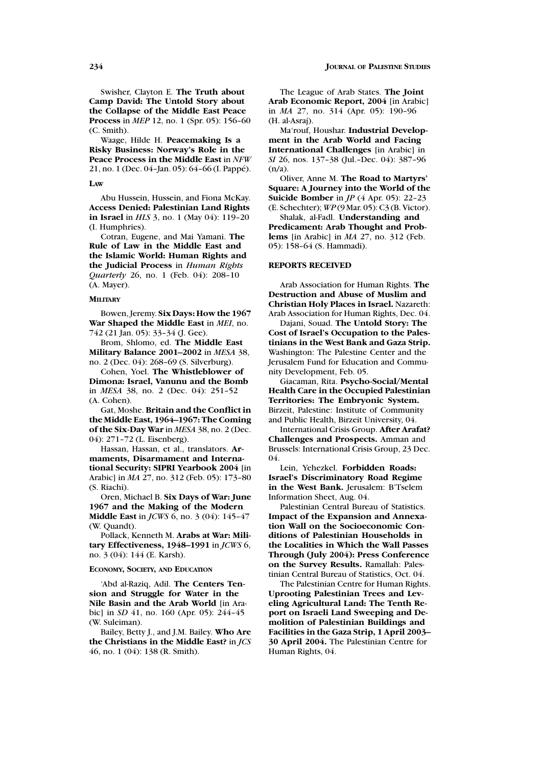Swisher, Clayton E. **The Truth about Camp David: The Untold Story about the Collapse of the Middle East Peace Process** in *MEP* 12, no. 1 (Spr. 05): 156–60 (C. Smith).

Waage, Hilde H. **Peacemaking Is a Risky Business: Norway's Role in the Peace Process in the Middle East** in *NFW* 21, no. 1 (Dec. 04-Jan. 05): 64-66 (I. Pappé).

**LAW**

Abu Hussein, Hussein, and Fiona McKay. **Access Denied: Palestinian Land Rights in Israel** in *HLS* 3, no. 1 (May 04): 119–20 (I. Humphries).

Cotran, Eugene, and Mai Yamani. **The Rule of Law in the Middle East and the Islamic World: Human Rights and the Judicial Process** in *Human Rights Quarterly* 26, no. 1 (Feb. 04): 208–10 (A. Mayer).

### **MILITARY**

Bowen, Jeremy. **Six Days: How the 1967 War Shaped the Middle East** in *MEI*, no. 742 (21 Jan. 05): 33–34 (J. Gee).

Brom, Shlomo, ed. **The Middle East Military Balance 2001–2002** in *MESA* 38, no. 2 (Dec. 04): 268–69 (S. Silverburg).

Cohen, Yoel. **The Whistleblower of Dimona: Israel, Vanunu and the Bomb** in *MESA* 38, no. 2 (Dec. 04): 251–52 (A. Cohen).

Gat, Moshe. **Britain and the Conflict in the Middle East, 1964–1967: The Coming of the Six-Day War** in *MESA* 38, no. 2 (Dec. 04): 271–72 (L. Eisenberg).

Hassan, Hassan, et al., translators. **Armaments, Disarmament and International Security: SIPRI Yearbook 2004** [in Arabic] in *MA* 27, no. 312 (Feb. 05): 173–80 (S. Riachi).

Oren, Michael B. **Six Days of War: June 1967 and the Making of the Modern Middle East** in *JCWS* 6, no. 3 (04): 145–47 (W. Quandt).

Pollack, Kenneth M. **Arabs at War: Military Effectiveness, 1948–1991** in *JCWS* 6, no. 3 (04): 144 (E. Karsh).

### **ECONOMY, SOCIETY, AND EDUCATION**

'Abd al-Raziq, Adil. **The Centers Tension and Struggle for Water in the Nile Basin and the Arab World** [in Arabic] in *SD* 41, no. 160 (Apr. 05): 244–45 (W. Suleiman).

Bailey, Betty J., and J.M. Bailey. **Who Are the Christians in the Middle East?** in *JCS* 46, no. 1 (04): 138 (R. Smith).

The League of Arab States. **The Joint Arab Economic Report, 2004** [in Arabic] in *MA* 27, no. 314 (Apr. 05): 190–96 (H. al-Asraj).

Ma'rouf, Houshar. **Industrial Development in the Arab World and Facing International Challenges** [in Arabic] in *SI* 26, nos. 137–38 (Jul.–Dec. 04): 387–96 (n/a).

Oliver, Anne M. **The Road to Martyrs' Square: A Journey into the World of the Suicide Bomber** in *JP* (4 Apr. 05): 22–23 (E. Schechter); *WP* (9 Mar. 05): C3 (B. Victor).

Shalak, al-Fadl. **Understanding and Predicament: Arab Thought and Problems** [in Arabic] in *MA* 27, no. 312 (Feb. 05): 158–64 (S. Hammadi).

#### **REPORTS RECEIVED**

Arab Association for Human Rights. **The Destruction and Abuse of Muslim and Christian Holy Places in Israel.** Nazareth: Arab Association for Human Rights, Dec. 04.

Dajani, Souad. **The Untold Story: The Cost of Israel's Occupation to the Palestinians in the West Bank and Gaza Strip.** Washington: The Palestine Center and the Jerusalem Fund for Education and Community Development, Feb. 05.

Giacaman, Rita. **Psycho-Social/Mental Health Care in the Occupied Palestinian Territories: The Embryonic System.** Birzeit, Palestine: Institute of Community and Public Health, Birzeit University, 04.

International Crisis Group. **After Arafat? Challenges and Prospects.** Amman and Brussels: International Crisis Group, 23 Dec. 04.

Lein, Yehezkel. **Forbidden Roads: Israel's Discriminatory Road Regime in the West Bank.** Jerusalem: B'Tselem Information Sheet, Aug. 04.

Palestinian Central Bureau of Statistics. **Impact of the Expansion and Annexation Wall on the Socioeconomic Conditions of Palestinian Households in the Localities in Which the Wall Passes Through (July 2004): Press Conference on the Survey Results.** Ramallah: Palestinian Central Bureau of Statistics, Oct. 04.

The Palestinian Centre for Human Rights. **Uprooting Palestinian Trees and Leveling Agricultural Land: The Tenth Report on Israeli Land Sweeping and Demolition of Palestinian Buildings and Facilities in the Gaza Strip, 1 April 2003– 30 April 2004.** The Palestinian Centre for Human Rights, 04.